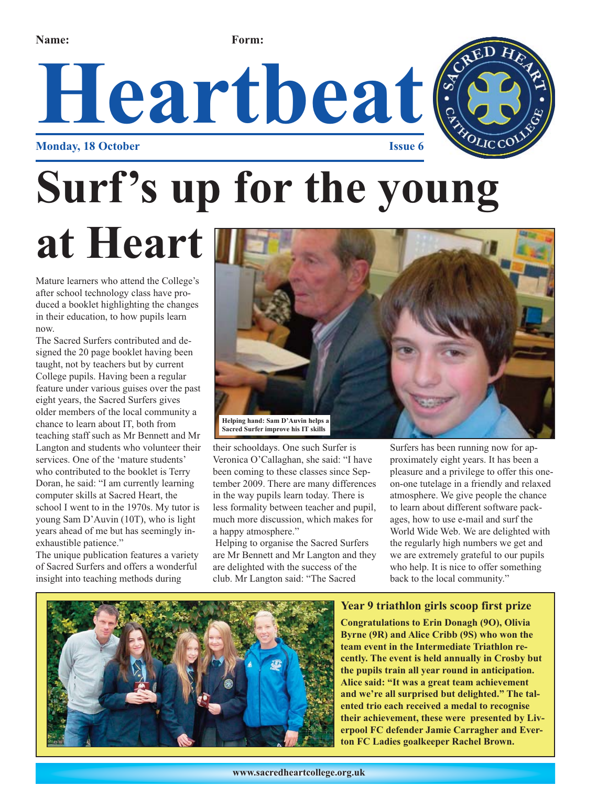**Name: Form:**





# **Surf's up for the young**

**at Heart**

Mature learners who attend the College's after school technology class have produced a booklet highlighting the changes in their education, to how pupils learn now.

The Sacred Surfers contributed and designed the 20 page booklet having been taught, not by teachers but by current College pupils. Having been a regular feature under various guises over the past eight years, the Sacred Surfers gives older members of the local community a chance to learn about IT, both from teaching staff such as Mr Bennett and Mr Langton and students who volunteer their services. One of the 'mature students' who contributed to the booklet is Terry Doran, he said: "I am currently learning computer skills at Sacred Heart, the school I went to in the 1970s. My tutor is young Sam D'Auvin (10T), who is light years ahead of me but has seemingly inexhaustible patience."

The unique publication features a variety of Sacred Surfers and offers a wonderful insight into teaching methods during



their schooldays. One such Surfer is Veronica O'Callaghan, she said: "I have been coming to these classes since September 2009. There are many differences in the way pupils learn today. There is less formality between teacher and pupil, much more discussion, which makes for a happy atmosphere."

Helping to organise the Sacred Surfers are Mr Bennett and Mr Langton and they are delighted with the success of the club. Mr Langton said: "The Sacred

Surfers has been running now for approximately eight years. It has been a pleasure and a privilege to offer this oneon-one tutelage in a friendly and relaxed atmosphere. We give people the chance to learn about different software packages, how to use e-mail and surf the World Wide Web. We are delighted with the regularly high numbers we get and we are extremely grateful to our pupils who help. It is nice to offer something back to the local community."



#### **Year 9 triathlon girls scoop first prize**

**Congratulations to Erin Donagh (9O), Olivia Byrne (9R) and Alice Cribb (9S) who won the team event in the Intermediate Triathlon recently. The event is held annually in Crosby but the pupils train all year round in anticipation. Alice said: "It was a great team achievement and we're all surprised but delighted." The talented trio each received a medal to recognise their achievement, these were presented by Liverpool FC defender Jamie Carragher and Everton FC Ladies goalkeeper Rachel Brown.**